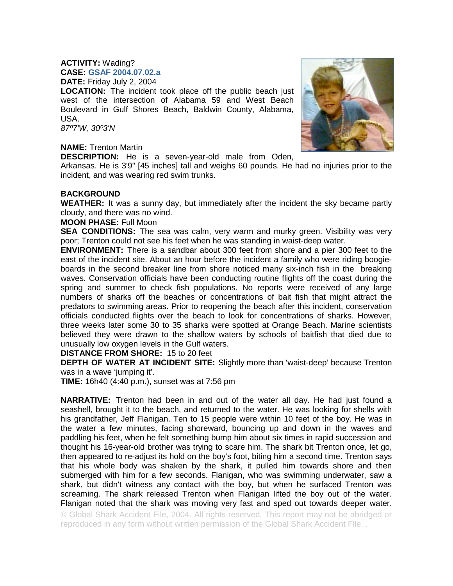# **ACTIVITY:** Wading? **CASE: GSAF 2004.07.02.a DATE:** Friday July 2, 2004

**LOCATION:** The incident took place off the public beach just west of the intersection of Alabama 59 and West Beach Boulevard in Gulf Shores Beach, Baldwin County, Alabama, USA.

*87º7'W, 30º3'N* 

# **NAME:** Trenton Martin

**DESCRIPTION:** He is a seven-year-old male from Oden,

Arkansas. He is 3'9" [45 inches] tall and weighs 60 pounds. He had no injuries prior to the incident, and was wearing red swim trunks.

## **BACKGROUND**

**WEATHER:** It was a sunny day, but immediately after the incident the sky became partly cloudy, and there was no wind.

#### **MOON PHASE:** Full Moon

**SEA CONDITIONS:** The sea was calm, very warm and murky green. Visibility was very poor; Trenton could not see his feet when he was standing in waist-deep water.

**ENVIRONMENT:** There is a sandbar about 300 feet from shore and a pier 300 feet to the east of the incident site. About an hour before the incident a family who were riding boogieboards in the second breaker line from shore noticed many six-inch fish in the breaking waves. Conservation officials have been conducting routine flights off the coast during the spring and summer to check fish populations. No reports were received of any large numbers of sharks off the beaches or concentrations of bait fish that might attract the predators to swimming areas. Prior to reopening the beach after this incident, conservation officials conducted flights over the beach to look for concentrations of sharks. However, three weeks later some 30 to 35 sharks were spotted at Orange Beach. Marine scientists believed they were drawn to the shallow waters by schools of baitfish that died due to unusually low oxygen levels in the Gulf waters.

## **DISTANCE FROM SHORE:** 15 to 20 feet

**DEPTH OF WATER AT INCIDENT SITE:** Slightly more than 'waist-deep' because Trenton was in a wave 'jumping it'.

**TIME:** 16h40 (4:40 p.m.), sunset was at 7:56 pm

**NARRATIVE:** Trenton had been in and out of the water all day. He had just found a seashell, brought it to the beach, and returned to the water. He was looking for shells with his grandfather, Jeff Flanigan. Ten to 15 people were within 10 feet of the boy. He was in the water a few minutes, facing shoreward, bouncing up and down in the waves and paddling his feet, when he felt something bump him about six times in rapid succession and thought his 16-year-old brother was trying to scare him. The shark bit Trenton once, let go, then appeared to re-adjust its hold on the boy's foot, biting him a second time. Trenton says that his whole body was shaken by the shark, it pulled him towards shore and then submerged with him for a few seconds. Flanigan, who was swimming underwater, saw a shark, but didn't witness any contact with the boy, but when he surfaced Trenton was screaming. The shark released Trenton when Flanigan lifted the boy out of the water. Flanigan noted that the shark was moving very fast and sped out towards deeper water.

© Global Shark Accident File, 2004. All rights reserved. This report may not be abridged or reproduced in any form without written permission of the Global Shark Accident File. .

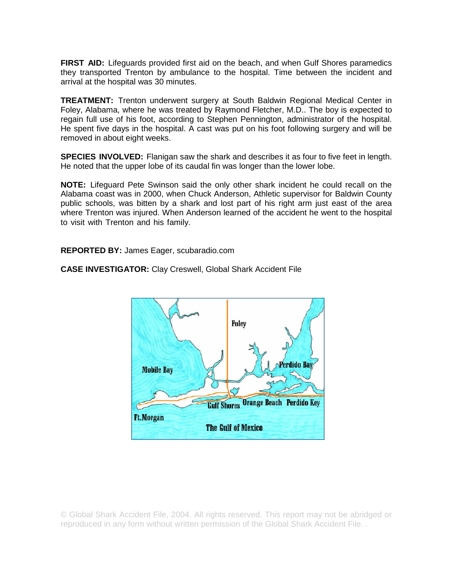**FIRST AID:** Lifeguards provided first aid on the beach, and when Gulf Shores paramedics they transported Trenton by ambulance to the hospital. Time between the incident and arrival at the hospital was 30 minutes.

**TREATMENT:** Trenton underwent surgery at South Baldwin Regional Medical Center in Foley, Alabama, where he was treated by Raymond Fletcher, M.D.. The boy is expected to regain full use of his foot, according to Stephen Pennington, administrator of the hospital. He spent five days in the hospital. A cast was put on his foot following surgery and will be removed in about eight weeks.

**SPECIES INVOLVED:** Flanigan saw the shark and describes it as four to five feet in length. He noted that the upper lobe of its caudal fin was longer than the lower lobe.

**NOTE:** Lifeguard Pete Swinson said the only other shark incident he could recall on the Alabama coast was in 2000, when Chuck Anderson, Athletic supervisor for Baldwin County public schools, was bitten by a shark and lost part of his right arm just east of the area where Trenton was injured. When Anderson learned of the accident he went to the hospital to visit with Trenton and his family.

**REPORTED BY:** James Eager, scubaradio.com



**CASE INVESTIGATOR:** Clay Creswell, Global Shark Accident File

© Global Shark Accident File, 2004. All rights reserved. This report may not be abridged or reproduced in any form without written permission of the Global Shark Accident File. .